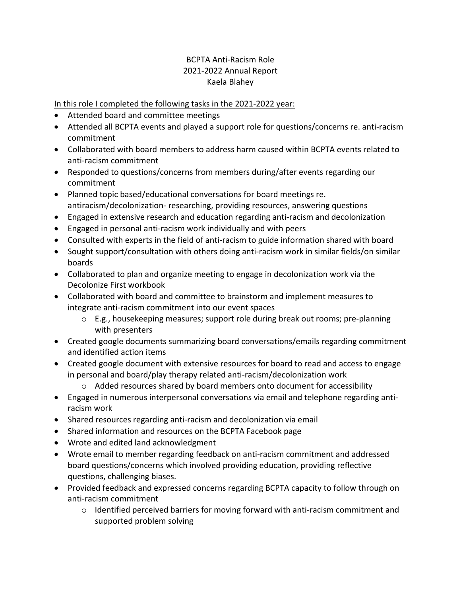## BCPTA Anti-Racism Role 2021-2022 Annual Report Kaela Blahey

## In this role I completed the following tasks in the 2021-2022 year:

- Attended board and committee meetings
- Attended all BCPTA events and played a support role for questions/concerns re. anti-racism commitment
- Collaborated with board members to address harm caused within BCPTA events related to anti-racism commitment
- Responded to questions/concerns from members during/after events regarding our commitment
- Planned topic based/educational conversations for board meetings re. antiracism/decolonization- researching, providing resources, answering questions
- Engaged in extensive research and education regarding anti-racism and decolonization
- Engaged in personal anti-racism work individually and with peers
- Consulted with experts in the field of anti-racism to guide information shared with board
- Sought support/consultation with others doing anti-racism work in similar fields/on similar boards
- Collaborated to plan and organize meeting to engage in decolonization work via the Decolonize First workbook
- Collaborated with board and committee to brainstorm and implement measures to integrate anti-racism commitment into our event spaces
	- o E.g., housekeeping measures; support role during break out rooms; pre-planning with presenters
- Created google documents summarizing board conversations/emails regarding commitment and identified action items
- Created google document with extensive resources for board to read and access to engage in personal and board/play therapy related anti-racism/decolonization work
	- $\circ$  Added resources shared by board members onto document for accessibility
- Engaged in numerous interpersonal conversations via email and telephone regarding antiracism work
- Shared resources regarding anti-racism and decolonization via email
- Shared information and resources on the BCPTA Facebook page
- Wrote and edited land acknowledgment
- Wrote email to member regarding feedback on anti-racism commitment and addressed board questions/concerns which involved providing education, providing reflective questions, challenging biases.
- Provided feedback and expressed concerns regarding BCPTA capacity to follow through on anti-racism commitment
	- $\circ$  Identified perceived barriers for moving forward with anti-racism commitment and supported problem solving